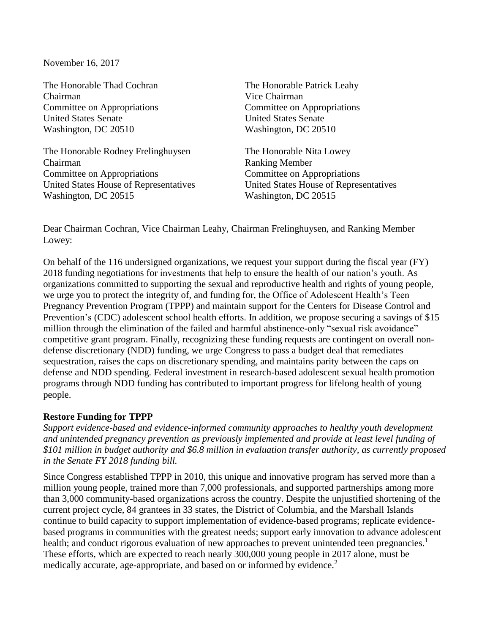November 16, 2017

The Honorable Thad Cochran The Honorable Patrick Leahy Chairman Vice Chairman Committee on Appropriations Committee on Appropriations United States Senate United States Senate Washington, DC 20510 Washington, DC 20510

The Honorable Rodney Frelinghuysen The Honorable Nita Lowey Chairman Ranking Member Committee on Appropriations Committee on Appropriations United States House of Representatives United States House of Representatives Washington, DC 20515 Washington, DC 20515

Dear Chairman Cochran, Vice Chairman Leahy, Chairman Frelinghuysen, and Ranking Member Lowey:

On behalf of the 116 undersigned organizations, we request your support during the fiscal year (FY) 2018 funding negotiations for investments that help to ensure the health of our nation's youth. As organizations committed to supporting the sexual and reproductive health and rights of young people, we urge you to protect the integrity of, and funding for, the Office of Adolescent Health's Teen Pregnancy Prevention Program (TPPP) and maintain support for the Centers for Disease Control and Prevention's (CDC) adolescent school health efforts. In addition, we propose securing a savings of \$15 million through the elimination of the failed and harmful abstinence-only "sexual risk avoidance" competitive grant program. Finally, recognizing these funding requests are contingent on overall nondefense discretionary (NDD) funding, we urge Congress to pass a budget deal that remediates sequestration, raises the caps on discretionary spending, and maintains parity between the caps on defense and NDD spending. Federal investment in research-based adolescent sexual health promotion programs through NDD funding has contributed to important progress for lifelong health of young people.

### **Restore Funding for TPPP**

*Support evidence-based and evidence-informed community approaches to healthy youth development and unintended pregnancy prevention as previously implemented and provide at least level funding of \$101 million in budget authority and \$6.8 million in evaluation transfer authority, as currently proposed in the Senate FY 2018 funding bill.* 

Since Congress established TPPP in 2010, this unique and innovative program has served more than a million young people, trained more than 7,000 professionals, and supported partnerships among more than 3,000 community-based organizations across the country. Despite the unjustified shortening of the current project cycle, 84 grantees in 33 states, the District of Columbia, and the Marshall Islands continue to build capacity to support implementation of evidence-based programs; replicate evidencebased programs in communities with the greatest needs; support early innovation to advance adolescent health; and conduct rigorous evaluation of new approaches to prevent unintended teen pregnancies.<sup>1</sup> These efforts, which are expected to reach nearly 300,000 young people in 2017 alone, must be medically accurate, age-appropriate, and based on or informed by evidence.<sup>2</sup>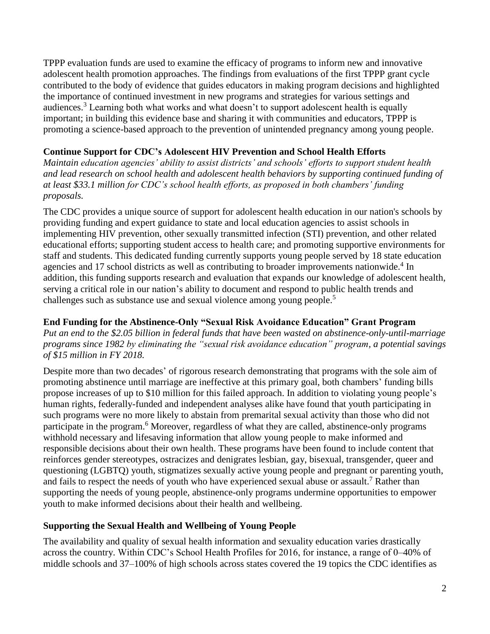TPPP evaluation funds are used to examine the efficacy of programs to inform new and innovative adolescent health promotion approaches. The findings from evaluations of the first TPPP grant cycle contributed to the body of evidence that guides educators in making program decisions and highlighted the importance of continued investment in new programs and strategies for various settings and audiences.<sup>3</sup> Learning both what works and what doesn't to support adolescent health is equally important; in building this evidence base and sharing it with communities and educators, TPPP is promoting a science-based approach to the prevention of unintended pregnancy among young people.

## **Continue Support for CDC's Adolescent HIV Prevention and School Health Efforts**

*Maintain education agencies' ability to assist districts' and schools' efforts to support student health and lead research on school health and adolescent health behaviors by supporting continued funding of at least \$33.1 million for CDC's school health efforts, as proposed in both chambers' funding proposals.* 

The CDC provides a unique source of support for adolescent health education in our nation's schools by providing funding and expert guidance to state and local education agencies to assist schools in implementing HIV prevention, other sexually transmitted infection (STI) prevention, and other related educational efforts; supporting student access to health care; and promoting supportive environments for staff and students. This dedicated funding currently supports young people served by 18 state education agencies and 17 school districts as well as contributing to broader improvements nationwide.<sup>4</sup> In addition, this funding supports research and evaluation that expands our knowledge of adolescent health, serving a critical role in our nation's ability to document and respond to public health trends and challenges such as substance use and sexual violence among young people.<sup>5</sup>

## **End Funding for the Abstinence-Only "Sexual Risk Avoidance Education" Grant Program**

*Put an end to the \$2.05 billion in federal funds that have been wasted on abstinence-only-until-marriage programs since 1982 by eliminating the "sexual risk avoidance education" program, a potential savings of \$15 million in FY 2018.*

Despite more than two decades' of rigorous research demonstrating that programs with the sole aim of promoting abstinence until marriage are ineffective at this primary goal, both chambers' funding bills propose increases of up to \$10 million for this failed approach. In addition to violating young people's human rights, federally-funded and independent analyses alike have found that youth participating in such programs were no more likely to abstain from premarital sexual activity than those who did not participate in the program.<sup>6</sup> Moreover, regardless of what they are called, abstinence-only programs withhold necessary and lifesaving information that allow young people to make informed and responsible decisions about their own health. These programs have been found to include content that reinforces gender stereotypes, ostracizes and denigrates lesbian, gay, bisexual, transgender, queer and questioning (LGBTQ) youth, stigmatizes sexually active young people and pregnant or parenting youth, and fails to respect the needs of youth who have experienced sexual abuse or assault.<sup>7</sup> Rather than supporting the needs of young people, abstinence-only programs undermine opportunities to empower youth to make informed decisions about their health and wellbeing.

# **Supporting the Sexual Health and Wellbeing of Young People**

The availability and quality of sexual health information and sexuality education varies drastically across the country. Within CDC's School Health Profiles for 2016, for instance, a range of 0–40% of middle schools and 37–100% of high schools across states covered the 19 topics the CDC identifies as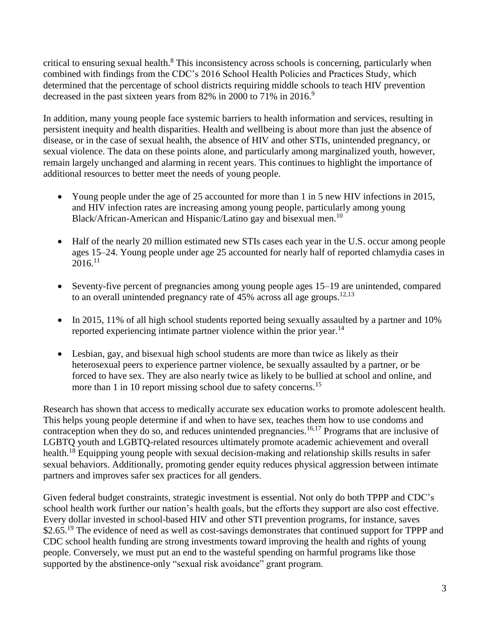critical to ensuring sexual health.<sup>8</sup> This inconsistency across schools is concerning, particularly when combined with findings from the CDC's 2016 School Health Policies and Practices Study, which determined that the percentage of school districts requiring middle schools to teach HIV prevention decreased in the past sixteen years from 82% in 2000 to 71% in 2016.<sup>9</sup>

In addition, many young people face systemic barriers to health information and services, resulting in persistent inequity and health disparities. Health and wellbeing is about more than just the absence of disease, or in the case of sexual health, the absence of HIV and other STIs, unintended pregnancy, or sexual violence. The data on these points alone, and particularly among marginalized youth, however, remain largely unchanged and alarming in recent years. This continues to highlight the importance of additional resources to better meet the needs of young people.

- Young people under the age of 25 accounted for more than 1 in 5 new HIV infections in 2015, and HIV infection rates are increasing among young people, particularly among young Black/African-American and Hispanic/Latino gay and bisexual men.<sup>10</sup>
- Half of the nearly 20 million estimated new STIs cases each year in the U.S. occur among people ages 15–24. Young people under age 25 accounted for nearly half of reported chlamydia cases in  $2016.<sup>11</sup>$
- Seventy-five percent of pregnancies among young people ages 15–19 are unintended, compared to an overall unintended pregnancy rate of 45% across all age groups.<sup>12,13</sup>
- In 2015, 11% of all high school students reported being sexually assaulted by a partner and 10% reported experiencing intimate partner violence within the prior year.<sup>14</sup>
- Lesbian, gay, and bisexual high school students are more than twice as likely as their heterosexual peers to experience partner violence, be sexually assaulted by a partner, or be forced to have sex. They are also nearly twice as likely to be bullied at school and online, and more than 1 in 10 report missing school due to safety concerns.<sup>15</sup>

Research has shown that access to medically accurate sex education works to promote adolescent health. This helps young people determine if and when to have sex, teaches them how to use condoms and contraception when they do so, and reduces unintended pregnancies.<sup>16,17</sup> Programs that are inclusive of LGBTQ youth and LGBTQ-related resources ultimately promote academic achievement and overall health.<sup>18</sup> Equipping young people with sexual decision-making and relationship skills results in safer sexual behaviors. Additionally, promoting gender equity reduces physical aggression between intimate partners and improves safer sex practices for all genders.

Given federal budget constraints, strategic investment is essential. Not only do both TPPP and CDC's school health work further our nation's health goals, but the efforts they support are also cost effective. Every dollar invested in school-based HIV and other STI prevention programs, for instance, saves \$2.65.<sup>19</sup> The evidence of need as well as cost-savings demonstrates that continued support for TPPP and CDC school health funding are strong investments toward improving the health and rights of young people. Conversely, we must put an end to the wasteful spending on harmful programs like those supported by the abstinence-only "sexual risk avoidance" grant program.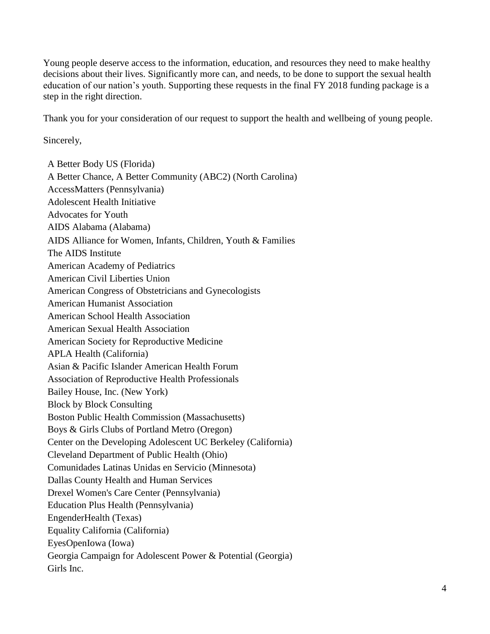Young people deserve access to the information, education, and resources they need to make healthy decisions about their lives. Significantly more can, and needs, to be done to support the sexual health education of our nation's youth. Supporting these requests in the final FY 2018 funding package is a step in the right direction.

Thank you for your consideration of our request to support the health and wellbeing of young people.

Sincerely,

A Better Body US (Florida) A Better Chance, A Better Community (ABC2) (North Carolina) AccessMatters (Pennsylvania) Adolescent Health Initiative Advocates for Youth AIDS Alabama (Alabama) AIDS Alliance for Women, Infants, Children, Youth & Families The AIDS Institute American Academy of Pediatrics American Civil Liberties Union American Congress of Obstetricians and Gynecologists American Humanist Association American School Health Association American Sexual Health Association American Society for Reproductive Medicine APLA Health (California) Asian & Pacific Islander American Health Forum Association of Reproductive Health Professionals Bailey House, Inc. (New York) Block by Block Consulting Boston Public Health Commission (Massachusetts) Boys & Girls Clubs of Portland Metro (Oregon) Center on the Developing Adolescent UC Berkeley (California) Cleveland Department of Public Health (Ohio) Comunidades Latinas Unidas en Servicio (Minnesota) Dallas County Health and Human Services Drexel Women's Care Center (Pennsylvania) Education Plus Health (Pennsylvania) EngenderHealth (Texas) Equality California (California) EyesOpenIowa (Iowa) Georgia Campaign for Adolescent Power & Potential (Georgia) Girls Inc.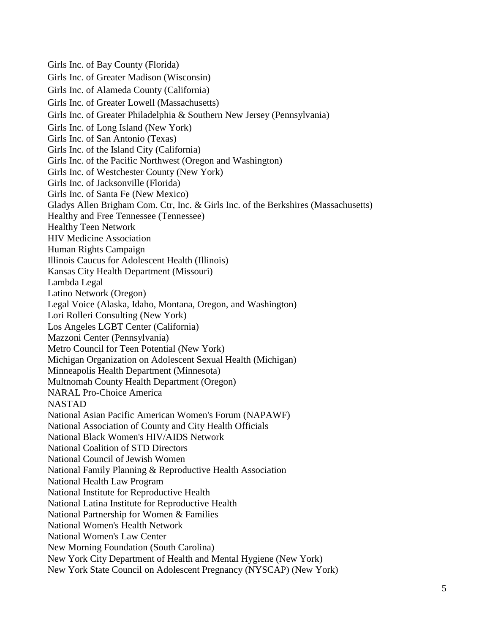Girls Inc. of Bay County (Florida) Girls Inc. of Greater Madison (Wisconsin) Girls Inc. of Alameda County (California) Girls Inc. of Greater Lowell (Massachusetts) Girls Inc. of Greater Philadelphia & Southern New Jersey (Pennsylvania) Girls Inc. of Long Island (New York) Girls Inc. of San Antonio (Texas) Girls Inc. of the Island City (California) Girls Inc. of the Pacific Northwest (Oregon and Washington) Girls Inc. of Westchester County (New York) Girls Inc. of Jacksonville (Florida) Girls Inc. of Santa Fe (New Mexico) Gladys Allen Brigham Com. Ctr, Inc. & Girls Inc. of the Berkshires (Massachusetts) Healthy and Free Tennessee (Tennessee) Healthy Teen Network HIV Medicine Association Human Rights Campaign Illinois Caucus for Adolescent Health (Illinois) Kansas City Health Department (Missouri) Lambda Legal Latino Network (Oregon) Legal Voice (Alaska, Idaho, Montana, Oregon, and Washington) Lori Rolleri Consulting (New York) Los Angeles LGBT Center (California) Mazzoni Center (Pennsylvania) Metro Council for Teen Potential (New York) Michigan Organization on Adolescent Sexual Health (Michigan) Minneapolis Health Department (Minnesota) Multnomah County Health Department (Oregon) NARAL Pro-Choice America NASTAD National Asian Pacific American Women's Forum (NAPAWF) National Association of County and City Health Officials National Black Women's HIV/AIDS Network National Coalition of STD Directors National Council of Jewish Women National Family Planning & Reproductive Health Association National Health Law Program National Institute for Reproductive Health National Latina Institute for Reproductive Health National Partnership for Women & Families National Women's Health Network National Women's Law Center New Morning Foundation (South Carolina) New York City Department of Health and Mental Hygiene (New York) New York State Council on Adolescent Pregnancy (NYSCAP) (New York)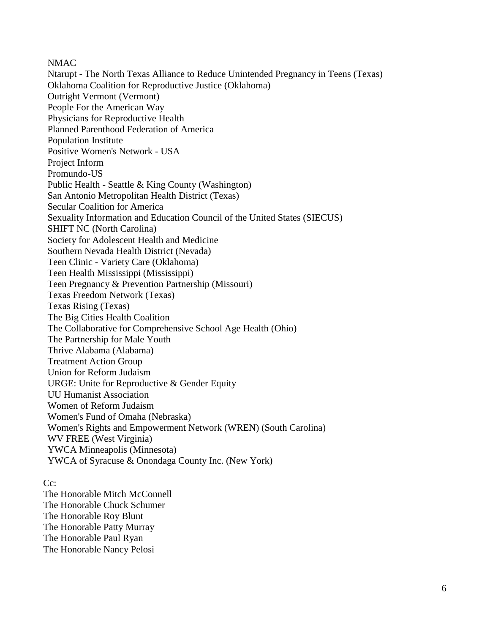#### NMAC

Ntarupt - The North Texas Alliance to Reduce Unintended Pregnancy in Teens (Texas) Oklahoma Coalition for Reproductive Justice (Oklahoma) Outright Vermont (Vermont) People For the American Way Physicians for Reproductive Health Planned Parenthood Federation of America Population Institute Positive Women's Network - USA Project Inform Promundo-US Public Health - Seattle & King County (Washington) San Antonio Metropolitan Health District (Texas) Secular Coalition for America Sexuality Information and Education Council of the United States (SIECUS) SHIFT NC (North Carolina) Society for Adolescent Health and Medicine Southern Nevada Health District (Nevada) Teen Clinic - Variety Care (Oklahoma) Teen Health Mississippi (Mississippi) Teen Pregnancy & Prevention Partnership (Missouri) Texas Freedom Network (Texas) Texas Rising (Texas) The Big Cities Health Coalition The Collaborative for Comprehensive School Age Health (Ohio) The Partnership for Male Youth Thrive Alabama (Alabama) Treatment Action Group Union for Reform Judaism URGE: Unite for Reproductive & Gender Equity UU Humanist Association Women of Reform Judaism Women's Fund of Omaha (Nebraska) Women's Rights and Empowerment Network (WREN) (South Carolina) WV FREE (West Virginia) YWCA Minneapolis (Minnesota) YWCA of Syracuse & Onondaga County Inc. (New York)

### Cc:

The Honorable Mitch McConnell The Honorable Chuck Schumer The Honorable Roy Blunt The Honorable Patty Murray The Honorable Paul Ryan The Honorable Nancy Pelosi